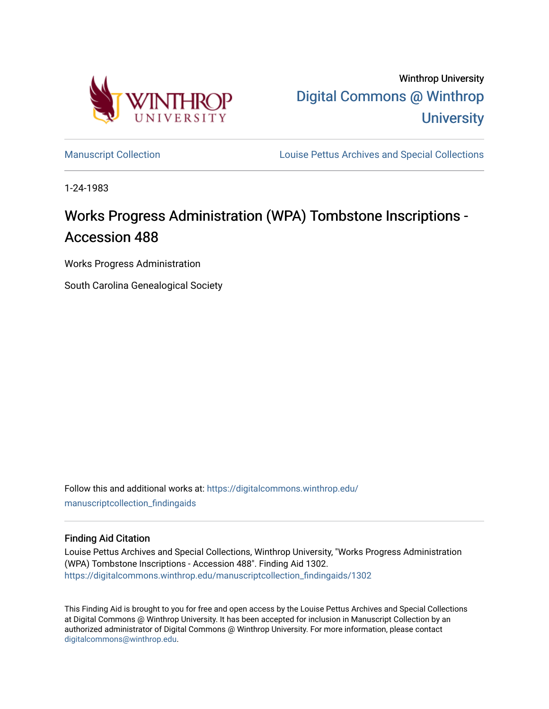

Winthrop University [Digital Commons @ Winthrop](https://digitalcommons.winthrop.edu/)  **University** 

[Manuscript Collection](https://digitalcommons.winthrop.edu/manuscriptcollection_findingaids) **Louise Pettus Archives and Special Collections** 

1-24-1983

# Works Progress Administration (WPA) Tombstone Inscriptions -Accession 488

Works Progress Administration

South Carolina Genealogical Society

Follow this and additional works at: [https://digitalcommons.winthrop.edu/](https://digitalcommons.winthrop.edu/manuscriptcollection_findingaids?utm_source=digitalcommons.winthrop.edu%2Fmanuscriptcollection_findingaids%2F1302&utm_medium=PDF&utm_campaign=PDFCoverPages) [manuscriptcollection\\_findingaids](https://digitalcommons.winthrop.edu/manuscriptcollection_findingaids?utm_source=digitalcommons.winthrop.edu%2Fmanuscriptcollection_findingaids%2F1302&utm_medium=PDF&utm_campaign=PDFCoverPages) 

#### Finding Aid Citation

Louise Pettus Archives and Special Collections, Winthrop University, "Works Progress Administration (WPA) Tombstone Inscriptions - Accession 488". Finding Aid 1302. [https://digitalcommons.winthrop.edu/manuscriptcollection\\_findingaids/1302](https://digitalcommons.winthrop.edu/manuscriptcollection_findingaids/1302?utm_source=digitalcommons.winthrop.edu%2Fmanuscriptcollection_findingaids%2F1302&utm_medium=PDF&utm_campaign=PDFCoverPages) 

This Finding Aid is brought to you for free and open access by the Louise Pettus Archives and Special Collections at Digital Commons @ Winthrop University. It has been accepted for inclusion in Manuscript Collection by an authorized administrator of Digital Commons @ Winthrop University. For more information, please contact [digitalcommons@winthrop.edu](mailto:digitalcommons@winthrop.edu).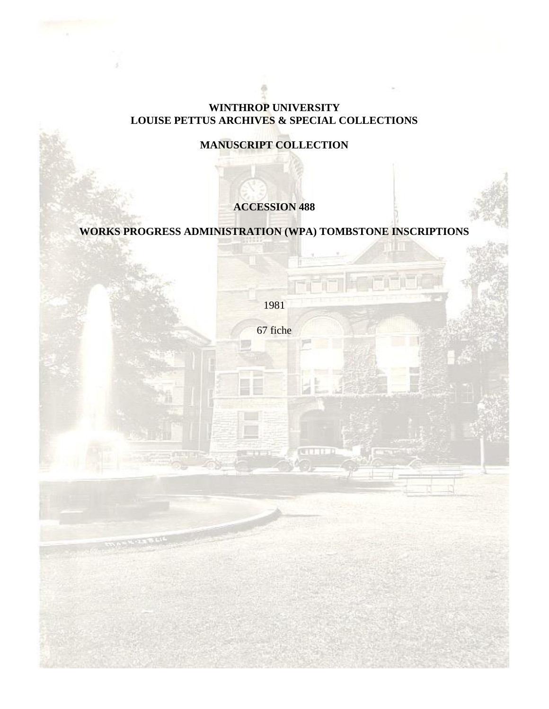### **WINTHROP UNIVERSITY LOUISE PETTUS ARCHIVES & SPECIAL COLLECTIONS**

## **MANUSCRIPT COLLECTION**

## **ACCESSION 488**

## **WORKS PROGRESS ADMINISTRATION (WPA) TOMBSTONE INSCRIPTIONS**

1981

67 fiche